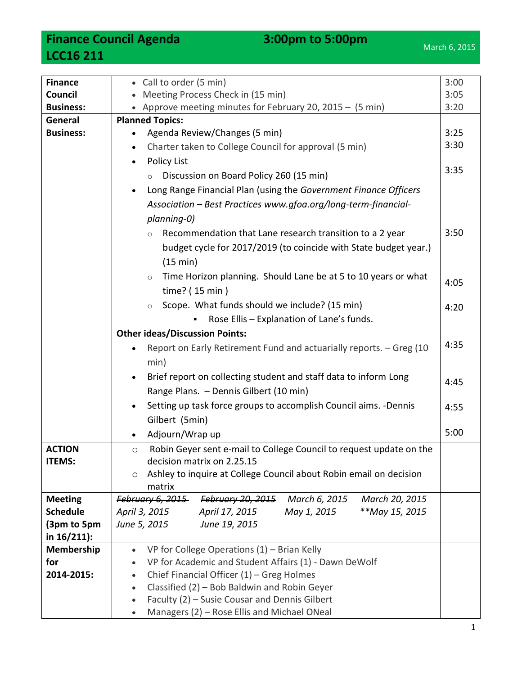**Finance Council Agenda** 3:00pm to 5:00pm **LCC16 211**

| <b>Finance</b>   | • Call to order (5 min)<br>3:00                                                |  |  |  |
|------------------|--------------------------------------------------------------------------------|--|--|--|
| Council          | Meeting Process Check in (15 min)                                              |  |  |  |
| <b>Business:</b> | • Approve meeting minutes for February 20, 2015 - $(5 \text{ min})$            |  |  |  |
| General          | <b>Planned Topics:</b>                                                         |  |  |  |
| <b>Business:</b> | Agenda Review/Changes (5 min)                                                  |  |  |  |
|                  | Charter taken to College Council for approval (5 min)<br>$\bullet$             |  |  |  |
|                  | <b>Policy List</b>                                                             |  |  |  |
|                  | Discussion on Board Policy 260 (15 min)<br>$\circ$                             |  |  |  |
|                  | Long Range Financial Plan (using the Government Finance Officers               |  |  |  |
|                  | Association - Best Practices www.gfoa.org/long-term-financial-                 |  |  |  |
|                  | planning-0)                                                                    |  |  |  |
|                  | Recommendation that Lane research transition to a 2 year<br>$\circ$            |  |  |  |
|                  | budget cycle for 2017/2019 (to coincide with State budget year.)               |  |  |  |
|                  | (15 min)                                                                       |  |  |  |
|                  | Time Horizon planning. Should Lane be at 5 to 10 years or what<br>$\circ$      |  |  |  |
|                  | 4:05<br>time? (15 min)                                                         |  |  |  |
|                  | Scope. What funds should we include? (15 min)<br>$\circ$<br>4:20               |  |  |  |
|                  | Rose Ellis - Explanation of Lane's funds.                                      |  |  |  |
|                  | <b>Other ideas/Discussion Points:</b>                                          |  |  |  |
|                  | 4:35<br>Report on Early Retirement Fund and actuarially reports. - Greg (10    |  |  |  |
|                  | min)                                                                           |  |  |  |
|                  | Brief report on collecting student and staff data to inform Long<br>4:45       |  |  |  |
|                  | Range Plans. - Dennis Gilbert (10 min)                                         |  |  |  |
|                  | Setting up task force groups to accomplish Council aims. -Dennis<br>4:55       |  |  |  |
|                  | Gilbert (5min)                                                                 |  |  |  |
|                  | 5:00<br>Adjourn/Wrap up                                                        |  |  |  |
| <b>ACTION</b>    | Robin Geyer sent e-mail to College Council to request update on the<br>$\circ$ |  |  |  |
| <b>ITEMS:</b>    | decision matrix on 2.25.15                                                     |  |  |  |
|                  | Ashley to inquire at College Council about Robin email on decision<br>O        |  |  |  |
|                  | matrix                                                                         |  |  |  |
| <b>Meeting</b>   | February 6, 2015<br>February 20, 2015<br>March 6, 2015<br>March 20, 2015       |  |  |  |
| <b>Schedule</b>  | **May 15, 2015<br>April 3, 2015<br>April 17, 2015<br>May 1, 2015               |  |  |  |
| (3pm to 5pm      | June 5, 2015<br>June 19, 2015                                                  |  |  |  |
| in $16/211$ :    |                                                                                |  |  |  |
| Membership       | VP for College Operations $(1)$ – Brian Kelly<br>$\bullet$                     |  |  |  |
| for              | VP for Academic and Student Affairs (1) - Dawn DeWolf                          |  |  |  |
| 2014-2015:       | Chief Financial Officer (1) - Greg Holmes<br>$\bullet$                         |  |  |  |
|                  | Classified (2) - Bob Baldwin and Robin Geyer<br>$\bullet$                      |  |  |  |
|                  | Faculty (2) - Susie Cousar and Dennis Gilbert<br>$\bullet$                     |  |  |  |
|                  | Managers (2) - Rose Ellis and Michael ONeal                                    |  |  |  |